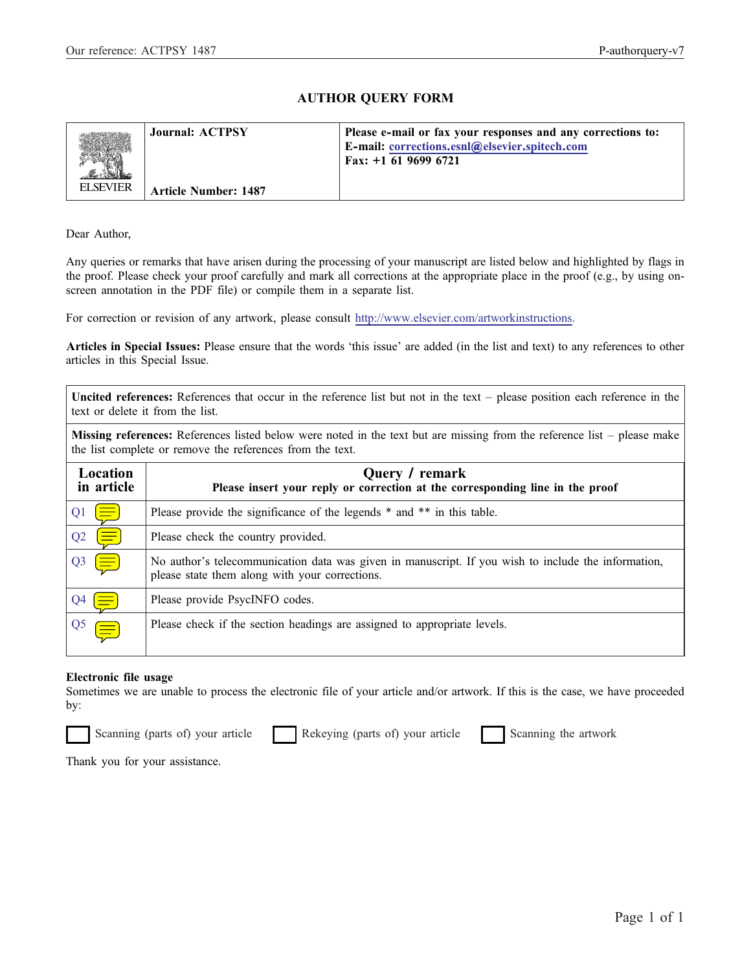### AUTHOR QUERY FORM

|                 | <b>Journal: ACTPSY</b>      | Please e-mail or fax your responses and any corrections to:<br><b>E-mail: corrections.esnl@elsevier.spitech.com</b><br>Fax: $+1$ 61 9699 6721 |
|-----------------|-----------------------------|-----------------------------------------------------------------------------------------------------------------------------------------------|
| <b>ELSEVIER</b> | <b>Article Number: 1487</b> |                                                                                                                                               |

Dear Author,

Any queries or remarks that have arisen during the processing of your manuscript are listed below and highlighted by flags in the proof. Please check your proof carefully and mark all corrections at the appropriate place in the proof (e.g., by using onscreen annotation in the PDF file) or compile them in a separate list.

For correction or revision of any artwork, please consult [http://www.elsevier.com/artworkinstructions.](http://www.elsevier.com/artworkinstructions)

Articles in Special Issues: Please ensure that the words 'this issue' are added (in the list and text) to any references to other articles in this Special Issue.

Uncited references: References that occur in the reference list but not in the text – please position each reference in the text or delete it from the list.

Missing references: References listed below were noted in the text but are missing from the reference list – please make the list complete or remove the references from the text.

| Location<br>in article      | Query / remark<br>Please insert your reply or correction at the corresponding line in the proof                                                       |  |  |  |  |  |
|-----------------------------|-------------------------------------------------------------------------------------------------------------------------------------------------------|--|--|--|--|--|
| Q <sub>1</sub><br>$\equiv$  | Please provide the significance of the legends * and ** in this table.                                                                                |  |  |  |  |  |
| Q2<br>$\equiv$              | Please check the country provided.                                                                                                                    |  |  |  |  |  |
| Q3<br>$\left(\equiv\right)$ | No author's telecommunication data was given in manuscript. If you wish to include the information,<br>please state them along with your corrections. |  |  |  |  |  |
|                             | Please provide PsycINFO codes.                                                                                                                        |  |  |  |  |  |
| Q5<br>$\equiv$              | Please check if the section headings are assigned to appropriate levels.                                                                              |  |  |  |  |  |

### Electronic file usage

Sometimes we are unable to process the electronic file of your article and/or artwork. If this is the case, we have proceeded by:

Scanning (parts of) your article Rekeying (parts of) your article Scanning the artwork

Thank you for your assistance.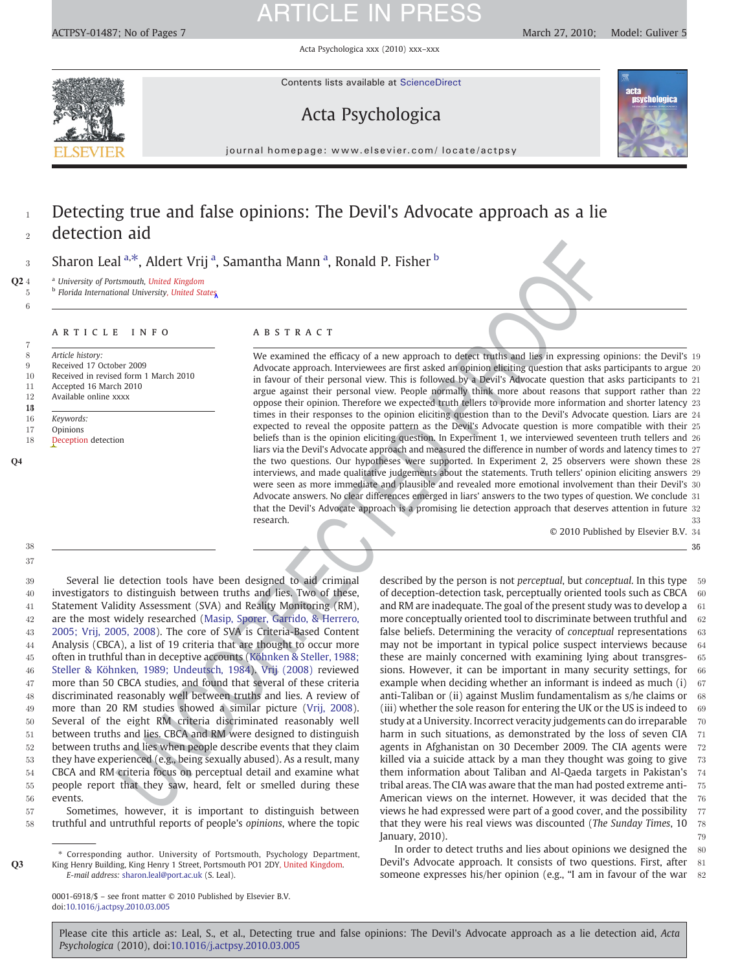Acta Psychologica xxx (2010) xxx–xxx

<span id="page-1-0"></span>

Contents lists available at ScienceDirect

### Acta Psychologica



journal homepage: www.elsevier.com/ locate/actpsy

### <sup>1</sup> Detecting true and false opinions: The Devil's Advocate approach as a lie detection aid

3 Sharon Leal <sup>a,\*</sup>, Aldert Vrij <sup>a</sup>, Samantha Mann <sup>a</sup>, Ronald P. Fisher <sup>b</sup>

Q2 4 <sup>a</sup> University of Portsmouth, United Kingdom

5 b Florida International University, United States

#### ARTICLE INFO ABSTRACT

7 8 Article history<br>9 Received 17 0 9 Received 17 October 2009<br>10 Received in revised form 1 Received in revised form 1 March 2010 11 Accepted 16 March 2010<br>12 Available online xxxx 12 Available online xxxx  $13$ 16 Keywords: 17 Opinions<br>18 Deceptio Deception detection

UNC[ORR](#page-7-0)ECTED PROOF We examined the efficacy of a new approach to detect truths and lies in expressing opinions: the Devil's 19 Advocate approach. Interviewees are first asked an opinion eliciting question that asks participants to argue 20 in favour of their personal view. This is followed by a Devil's Advocate question that asks participants to 21 argue against their personal view. People normally think more about reasons that support rather than 22 oppose their opinion. Therefore we expected truth tellers to provide more information and shorter latency 23 times in their responses to the opinion eliciting question than to the Devil's Advocate question. Liars are 24 expected to reveal the opposite pattern as the Devil's Advocate question is more compatible with their 25 beliefs than is the opinion eliciting question. In Experiment 1, we interviewed seventeen truth tellers and 26 liars via the Devil's Advocate approach and measured the difference in number of words and latency times to 27 Q4 the two questions. Our hypotheses were supported. In Experiment 2, 25 observers were shown these 28 interviews, and made qualitative judgements about the statements. Truth tellers' opinion eliciting answers 29 were seen as more immediate and plausible and revealed more emotional involvement than their Devil's 30 Advocate answers. No clear differences emerged in liars' answers to the two types of question. We conclude 31 that the Devil's Advocate approach is a promising lie detection approach that deserves attention in future 32 research. 33

© 2010 Published by Elsevier B.V. 34

356

37 38

6

 Several lie detection tools have been designed to aid criminal investigators to distinguish between truths and lies. Two of these, Statement Validity Assessment (SVA) and Reality Monitoring (RM), are the most widely researched (Masip, Sporer, Garrido, & Herrero, [2005; Vrij, 2005, 2008](#page-7-0)). The core of SVA is Criteria-Based Content Analysis (CBCA), a list of 19 criteria that are thought to occur more often in truthful than in deceptive accounts (Köhnken & Steller, 1988; [Steller & Köhnken, 1989; Undeutsch, 1984\)](#page-7-0). Vrij (2008) reviewed more than 50 CBCA studies, and found that several of these criteria discriminated reasonably well between truths and lies. A review of more than 20 RM studies showed a similar picture (Vrij, 2008). Several of the eight RM criteria discriminated reasonably well between truths and lies. CBCA and RM were designed to distinguish between truths and lies when people describe events that they claim they have experienced (e.g., being sexually abused). As a result, many CBCA and RM criteria focus on perceptual detail and examine what people report that they saw, heard, felt or smelled during these 56 events.

57 Sometimes, however, it is important to distinguish between 58 truthful and untruthful reports of people's opinions, where the topic

⁎ Corresponding author. University of Portsmouth, Psychology Department, Q3 King Henry Building, King Henry 1 Street, Portsmouth PO1 2DY, United Kingdom. E-mail address: [sharon.leal@port.ac.uk](mailto:sharon.leal@port.ac.uk) (S. Leal).

> 0001-6918/\$ – see front matter © 2010 Published by Elsevier B.V. doi:[10.1016/j.actpsy.2010.03.005](http://dx.doi.org/10.1016/j.actpsy.2010.03.005)

described by the person is not *perceptual*, but *conceptual*. In this type 59 of deception-detection task, perceptually oriented tools such as CBCA 60 and RM are inadequate. The goal of the present study was to develop a 61 more conceptually oriented tool to discriminate between truthful and 62 false beliefs. Determining the veracity of conceptual representations 63 may not be important in typical police suspect interviews because 64 these are mainly concerned with examining lying about transgres- 65 sions. However, it can be important in many security settings, for 66 example when deciding whether an informant is indeed as much (i) 67 anti-Taliban or (ii) against Muslim fundamentalism as  $s/h$ e claims or 68 (iii) whether the sole reason for entering the UK or the US is indeed to  $-69$ study at a University. Incorrect veracity judgements can do irreparable 70 harm in such situations, as demonstrated by the loss of seven CIA 71 agents in Afghanistan on 30 December 2009. The CIA agents were 72 killed via a suicide attack by a man they thought was going to give 73 them information about Taliban and Al-Qaeda targets in Pakistan's 74 tribal areas. The CIA was aware that the man had posted extreme anti- 75 American views on the internet. However, it was decided that the 76 views he had expressed were part of a good cover, and the possibility 77 that they were his real views was discounted (The Sunday Times, 10 78  $\lambda$  January, 2010). The same state of  $\lambda$  and  $\lambda$  and  $\lambda$  and  $\lambda$  and  $\lambda$  and  $\lambda$  and  $\lambda$  and  $\lambda$  and  $\lambda$  and  $\lambda$  and  $\lambda$  and  $\lambda$  and  $\lambda$  and  $\lambda$  and  $\lambda$  and  $\lambda$  and  $\lambda$  and  $\lambda$  and  $\lambda$  and  $\lambda$  and  $\$ 

In order to detect truths and lies about opinions we designed the  $\,80$ Devil's Advocate approach. It consists of two questions. First, after 81 someone expresses his/her opinion (e.g., "I am in favour of the war 82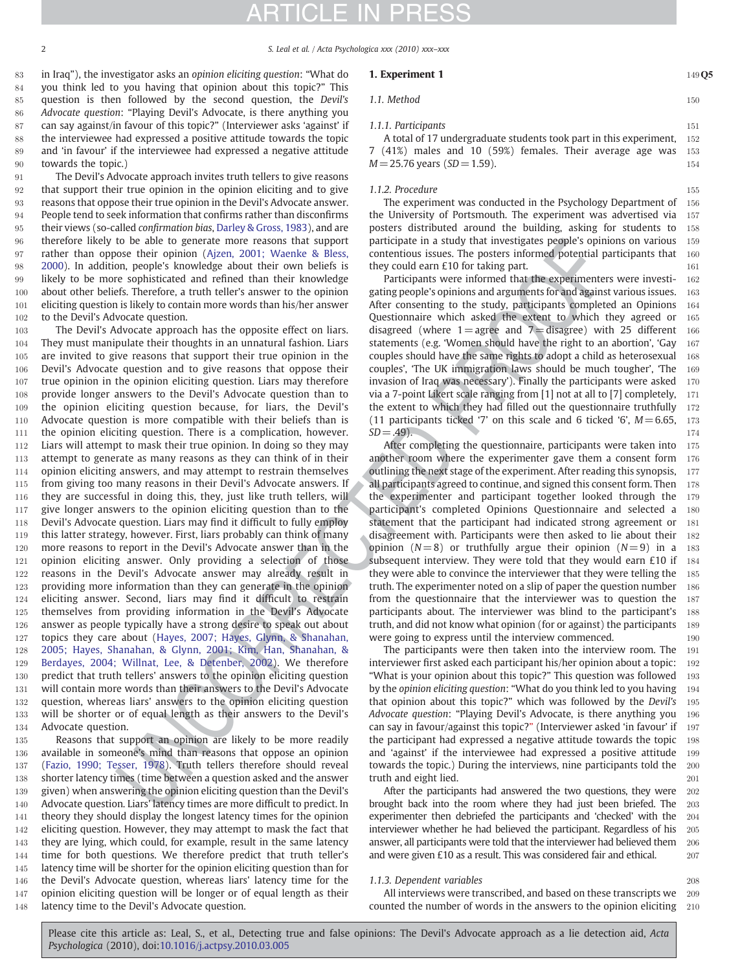### TICLE I

<span id="page-2-0"></span>2 S. Leal et al. / Acta Psychologica xxx (2010) xxx–xxx

 in Iraq"), the investigator asks an opinion eliciting question: "What do you think led to you having that opinion about this topic?" This question is then followed by the second question, the Devil's Advocate question: "Playing Devil's Advocate, is there anything you can say against/in favour of this topic?" (Interviewer asks 'against' if the interviewee had expressed a positive attitude towards the topic and 'in favour' if the interviewee had expressed a negative attitude towards the topic.)

91 The Devil's Advocate approach invites truth tellers to give reasons that support their true opinion in the opinion eliciting and to give reasons that oppose their true opinion in the Devil's Advocate answer. People tend to seek information that confirms rather than disconfirms 95 their views (so-called confirmation bias, [Darley & Gross, 1983](#page-6-0)), and are therefore likely to be able to generate more reasons that support rather than oppose their opinion [\(Ajzen, 2001; Waenke & Bless,](#page-6-0) [2000\)](#page-6-0). In addition, people's knowledge about their own beliefs is likely to be more sophisticated and refined than their knowledge about other beliefs. Therefore, a truth teller's answer to the opinion eliciting question is likely to contain more words than his/her answer 102 to the Devil's Advocate question.

In he able in general particular particular particular in a study that however, the particular content in the sole in general in the sole in general particular in the sole in general particular in the sole in general part The Devil's Advocate approach has the opposite effect on liars. They must manipulate their thoughts in an unnatural fashion. Liars are invited to give reasons that support their true opinion in the Devil's Advocate question and to give reasons that oppose their true opinion in the opinion eliciting question. Liars may therefore provide longer answers to the Devil's Advocate question than to the opinion eliciting question because, for liars, the Devil's Advocate question is more compatible with their beliefs than is the opinion eliciting question. There is a complication, however. Liars will attempt to mask their true opinion. In doing so they may attempt to generate as many reasons as they can think of in their opinion eliciting answers, and may attempt to restrain themselves from giving too many reasons in their Devil's Advocate answers. If they are successful in doing this, they, just like truth tellers, will 117 give longer answers to the opinion eliciting question than to the Devil's Advocate question. Liars may find it difficult to fully employ this latter strategy, however. First, liars probably can think of many more reasons to report in the Devil's Advocate answer than in the opinion eliciting answer. Only providing a selection of those reasons in the Devil's Advocate answer may already result in providing more information than they can generate in the opinion eliciting answer. Second, liars may find it difficult to restrain themselves from providing information in the Devil's Advocate answer as people typically have a strong desire to speak out about topics they care about (Hayes, 2007; Hayes, Glynn, & Shanahan, [2005; Hayes, Shanahan, & Glynn, 2001; Kim, Han, Shanahan, &](#page-6-0) [Berdayes, 2004; Willnat, Lee, & Detenber, 2002\)](#page-6-0). We therefore predict that truth tellers' answers to the opinion eliciting question will contain more words than their answers to the Devil's Advocate question, whereas liars' answers to the opinion eliciting question will be shorter or of equal length as their answers to the Devil's Advocate question.

 Reasons that support an opinion are likely to be more readily available in someone's mind than reasons that oppose an opinion [\(Fazio, 1990; Tesser, 1978\)](#page-6-0). Truth tellers therefore should reveal shorter latency times (time between a question asked and the answer given) when answering the opinion eliciting question than the Devil's Advocate question. Liars' latency times are more difficult to predict. In theory they should display the longest latency times for the opinion eliciting question. However, they may attempt to mask the fact that they are lying, which could, for example, result in the same latency time for both questions. We therefore predict that truth teller's latency time will be shorter for the opinion eliciting question than for the Devil's Advocate question, whereas liars' latency time for the opinion eliciting question will be longer or of equal length as their latency time to the Devil's Advocate question.

#### **1. Experiment 1** 149 O5

#### 1.1. Method 150

#### 1.1.1. Participants 151

A total of 17 undergraduate students took part in this experiment, 152 7 (41%) males and 10 (59%) females. Their average age was 153  $M = 25.76$  years (SD = 1.59). 154

#### 1.1.2. Procedure 155

The experiment was conducted in the Psychology Department of 156 the University of Portsmouth. The experiment was advertised via 157 posters distributed around the building, asking for students to 158 participate in a study that investigates people's opinions on various 159 contentious issues. The posters informed potential participants that 160 they could earn  $£10$  for taking part. 161

Participants were informed that the experimenters were investi- 162 gating people's opinions and arguments for and against various issues. 163 After consenting to the study, participants completed an Opinions 164 Questionnaire which asked the extent to which they agreed or 165 disagreed (where  $1 =$ agree and  $7 =$ disagree) with 25 different 166 statements (e.g. 'Women should have the right to an abortion', 'Gay 167 couples should have the same rights to adopt a child as heterosexual 168 couples', 'The UK immigration laws should be much tougher', 'The 169 invasion of Iraq was necessary'). Finally the participants were asked 170 via a 7-point Likert scale ranging from [1] not at all to [7] completely, 171 the extent to which they had filled out the questionnaire truthfully 172 (11 participants ticked '7' on this scale and 6 ticked '6',  $M = 6.65$ , 173  $SD = .49$ ). 174

After completing the questionnaire, participants were taken into 175 another room where the experimenter gave them a consent form 176 outlining the next stage of the experiment. After reading this synopsis, 177 all participants agreed to continue, and signed this consent form. Then  $178$ the experimenter and participant together looked through the 179 participant's completed Opinions Questionnaire and selected a 180 statement that the participant had indicated strong agreement or 181 disagreement with. Participants were then asked to lie about their 182 opinion  $(N=8)$  or truthfully argue their opinion  $(N=9)$  in a 183 subsequent interview. They were told that they would earn  $£10$  if  $184$ they were able to convince the interviewer that they were telling the 185 truth. The experimenter noted on a slip of paper the question number 186 from the questionnaire that the interviewer was to question the 187 participants about. The interviewer was blind to the participant's 188 truth, and did not know what opinion (for or against) the participants 189 were going to express until the interview commenced.  $190$ 

The participants were then taken into the interview room. The 191 interviewer first asked each participant his/her opinion about a topic: 192 "What is your opinion about this topic?" This question was followed 193 by the opinion eliciting question: "What do you think led to you having 194 that opinion about this topic?" which was followed by the Devil's 195 Advocate question: "Playing Devil's Advocate, is there anything you 196 can say in favour/against this topic?" (Interviewer asked 'in favour' if 197 the participant had expressed a negative attitude towards the topic 198 and 'against' if the interviewee had expressed a positive attitude 199 towards the topic.) During the interviews, nine participants told the 200 truth and eight lied. 201

After the participants had answered the two questions, they were 202 brought back into the room where they had just been briefed. The 203 experimenter then debriefed the participants and 'checked' with the 204 interviewer whether he had believed the participant. Regardless of his 205 answer, all participants were told that the interviewer had believed them 206 and were given  $£10$  as a result. This was considered fair and ethical.  $207$ 

#### 1.1.3. Dependent variables 208

All interviews were transcribed, and based on these transcripts we 209 counted the number of words in the answers to the opinion eliciting 210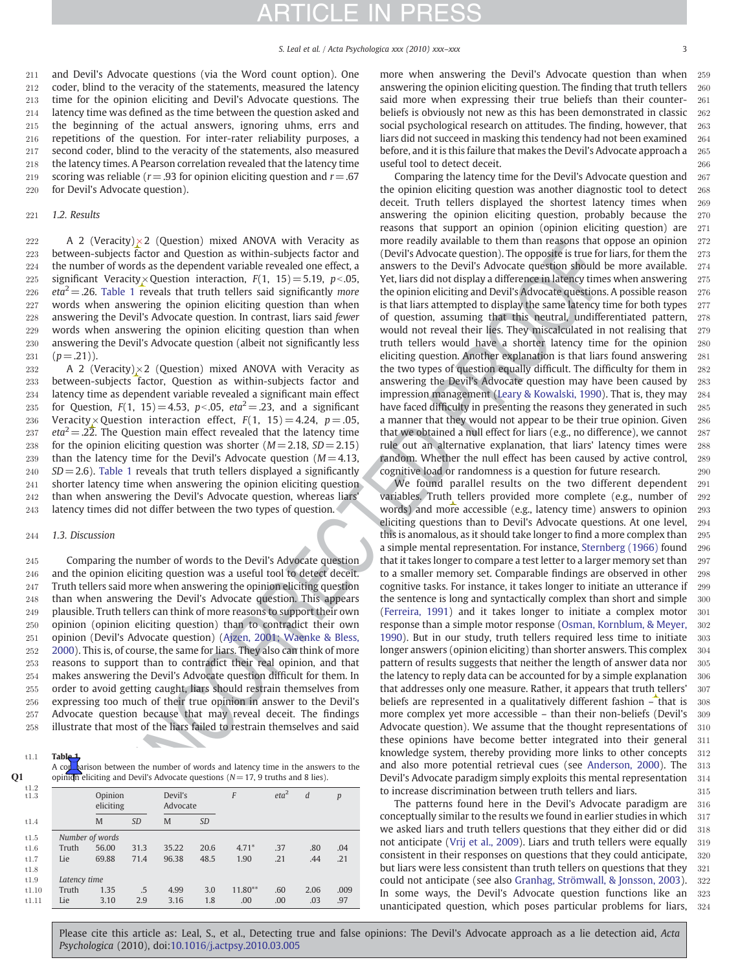<span id="page-3-0"></span> and Devil's Advocate questions (via the Word count option). One 212 coder, blind to the veracity of the statements, measured the latency time for the opinion eliciting and Devil's Advocate questions. The latency time was defined as the time between the question asked and the beginning of the actual answers, ignoring uhms, errs and repetitions of the question. For inter-rater reliability purposes, a second coder, blind to the veracity of the statements, also measured the latency times. A Pearson correlation revealed that the latency time 219 scoring was reliable ( $r = .93$  for opinion eliciting question and  $r = .67$ for Devil's Advocate question).

#### 221 1.2. Results

222 A 2 (Veracity) $\times$ 2 (Question) mixed ANOVA with Veracity as between-subjects factor and Question as within-subjects factor and the number of words as the dependent variable revealed one effect, a 225 significant Veracity× Question interaction,  $F(1, 15) = 5.19$ , p<.05,  $eta^2 = .26$ . Table 1 reveals that truth tellers said significantly more words when answering the opinion eliciting question than when answering the Devil's Advocate question. In contrast, liars said fewer words when answering the opinion eliciting question than when answering the Devil's Advocate question (albeit not significantly less  $(p=.21)$ ).

232  $\rightarrow$  A 2 (Veracity) $\times$ 2 (Question) mixed ANOVA with Veracity as 233 between-subjects factor, Question as within-subjects factor and 234 latency time as dependent variable revealed a significant main effect 235 for Question,  $F(1, 15) = 4.53$ ,  $p < .05$ ,  $eta^2 = .23$ , and a significant 236 Veracity × Question interaction effect,  $F(1, 15) = 4.24$ ,  $p = .05$ , 237 eta<sup>2</sup> = .22. The Question main effect revealed that the latency time 238 for the opinion eliciting question was shorter ( $M = 2.18$ ,  $SD = 2.15$ ) 239 than the latency time for the Devil's Advocate question  $(M= 4.13,$ 240  $SD = 2.6$ ). Table 1 reveals that truth tellers displayed a significantly 241 shorter latency time when answering the opinion eliciting question 242 than when answering the Devil's Advocate question, whereas liars' 243 latency times did not differ between the two types of question.

#### 244 1.3. Discussion

 Comparing the number of words to the Devil's Advocate question and the opinion eliciting question was a useful tool to detect deceit. Truth tellers said more when answering the opinion eliciting question than when answering the Devil's Advocate question. This appears plausible. Truth tellers can think of more reasons to support their own opinion (opinion eliciting question) than to contradict their own opinion (Devil's Advocate question) (Ajzen, 2001; Waenke & Bless, [2000\)](#page-6-0). This is, of course, the same for liars. They also can think of more reasons to support than to contradict their real opinion, and that makes answering the Devil's Advocate question difficult for them. In order to avoid getting caught, liars should restrain themselves from expressing too much of their true opinion in answer to the Devil's Advocate question because that may reveal deceit. The findings illustrate that most of the liars failed to restrain themselves and said

 $t1.1$  Table

A comparison between the number of words and latency time in the answers to the  $Q1$  opinion eliciting and Devil's Advocate questions ( $N= 17$ , 9 truths and 8 lies).

| t1.2<br>t1.3 |                 | Opinion<br>eliciting |           | Devil's | Advocate  |           | eta <sup>2</sup> | d    | p    |
|--------------|-----------------|----------------------|-----------|---------|-----------|-----------|------------------|------|------|
| t1.4         |                 | M                    | <b>SD</b> | M       | <b>SD</b> |           |                  |      |      |
| t1.5         | Number of words |                      |           |         |           |           |                  |      |      |
| t1.6         | Truth           | 56.00                | 31.3      | 35.22   | 20.6      | $4.71*$   | .37              | .80  | .04  |
| t1.7         | Lie             | 69.88                | 71.4      | 96.38   | 48.5      | 1.90      | .21              | .44  | .21  |
| t1.8         |                 |                      |           |         |           |           |                  |      |      |
| t1.9         |                 | Latency time         |           |         |           |           |                  |      |      |
| t1.10        | Truth           | 1.35                 | .5        | 4.99    | 3.0       | $11.80**$ | .60              | 2.06 | .009 |
| t1.11        | Lie             | 3.10                 | 2.9       | 3.16    | 1.8       | .00       | .00              | .03  | .97  |

more when answering the Devil's Advocate question than when 259 answering the opinion eliciting question. The finding that truth tellers 260 said more when expressing their true beliefs than their counter- 261 beliefs is obviously not new as this has been demonstrated in classic 262 social psychological research on attitudes. The finding, however, that 263 liars did not succeed in masking this tendency had not been examined 264 before, and it is this failure that makes the Devil's Advocate approach a 265 useful tool to detect deceit. 266

Comparing the latency time for the Devil's Advocate question and 267 the opinion eliciting question was another diagnostic tool to detect 268 deceit. Truth tellers displayed the shortest latency times when 269 answering the opinion eliciting question, probably because the 270 reasons that support an opinion (opinion eliciting question) are 271 more readily available to them than reasons that oppose an opinion 272 (Devil's Advocate question). The opposite is true for liars, for them the  $273$ answers to the Devil's Advocate question should be more available. 274 Yet, liars did not display a difference in latency times when answering 275 the opinion eliciting and Devil's Advocate questions. A possible reason 276 is that liars attempted to display the same latency time for both types 277 of question, assuming that this neutral, undifferentiated pattern, 278 would not reveal their lies. They miscalculated in not realising that 279 truth tellers would have a shorter latency time for the opinion 280 eliciting question. Another explanation is that liars found answering 281 the two types of question equally difficult. The difficulty for them in 282 answering the Devil's Advocate question may have been caused by 283 impression management (Leary & Kowalski, 1990). That is, they may 284 have faced difficulty in presenting the reasons they generated in such 285 a manner that they would not appear to be their true opinion. Given 286 that we obtained a null effect for liars (e.g., no difference), we cannot 287 rule out an alternative explanation, that liars' latency times were 288 random. Whether the null effect has been caused by active control, 289 cognitive load or randomness is a question for future research. 290

(y)  $z^2$  (y) extends on the track of the proportion of the track of the control of the state of the control of the state of the state of the state of the state of the state of the state of the state of the state of the s We found parallel results on the two different dependent 291 variables. Truth tellers provided more complete (e.g., number of 292 words) and more accessible (e.g., latency time) answers to opinion 293 eliciting questions than to Devil's Advocate questions. At one level, 294 this is anomalous, as it should take longer to find a more complex than 295 a simple mental representation. For instance, [Sternberg \(1966\)](#page-7-0) found 296 that it takes longer to compare a test letter to a larger memory set than 297 to a smaller memory set. Comparable findings are observed in other 298 cognitive tasks. For instance, it takes longer to initiate an utterance if 299 the sentence is long and syntactically complex than short and simple 300 (Ferreira, 1991) and it takes longer to initiate a complex motor 301 response than a simple motor response [\(Osman, Kornblum, & Meyer,](#page-7-0) 302 1990). But in our study, truth tellers required less time to initiate 303 longer answers (opinion eliciting) than shorter answers. This complex 304 pattern of results suggests that neither the length of answer data nor 305 the latency to reply data can be accounted for by a simple explanation  $306$ that addresses only one measure. Rather, it appears that truth tellers' 307 beliefs are represented in a qualitatively different fashion - that is 308 more complex yet more accessible – than their non-beliefs (Devil's 309 Advocate question). We assume that the thought representations of  $310$ these opinions have become better integrated into their general 311 knowledge system, thereby providing more links to other concepts 312 and also more potential retrieval cues (see [Anderson, 2000\)](#page-6-0). The 313 Devil's Advocate paradigm simply exploits this mental representation 314 to increase discrimination between truth tellers and liars. 315

The patterns found here in the Devil's Advocate paradigm are 316 conceptually similar to the results we found in earlier studies in which 317 we asked liars and truth tellers questions that they either did or did 318 not anticipate [\(Vrij et al., 2009\)](#page-7-0). Liars and truth tellers were equally 319 consistent in their responses on questions that they could anticipate, 320 but liars were less consistent than truth tellers on questions that they 321 could not anticipate (see also [Granhag, Strömwall, & Jonsson, 2003](#page-6-0)). 322 In some ways, the Devil's Advocate question functions like an 323 unanticipated question, which poses particular problems for liars, 324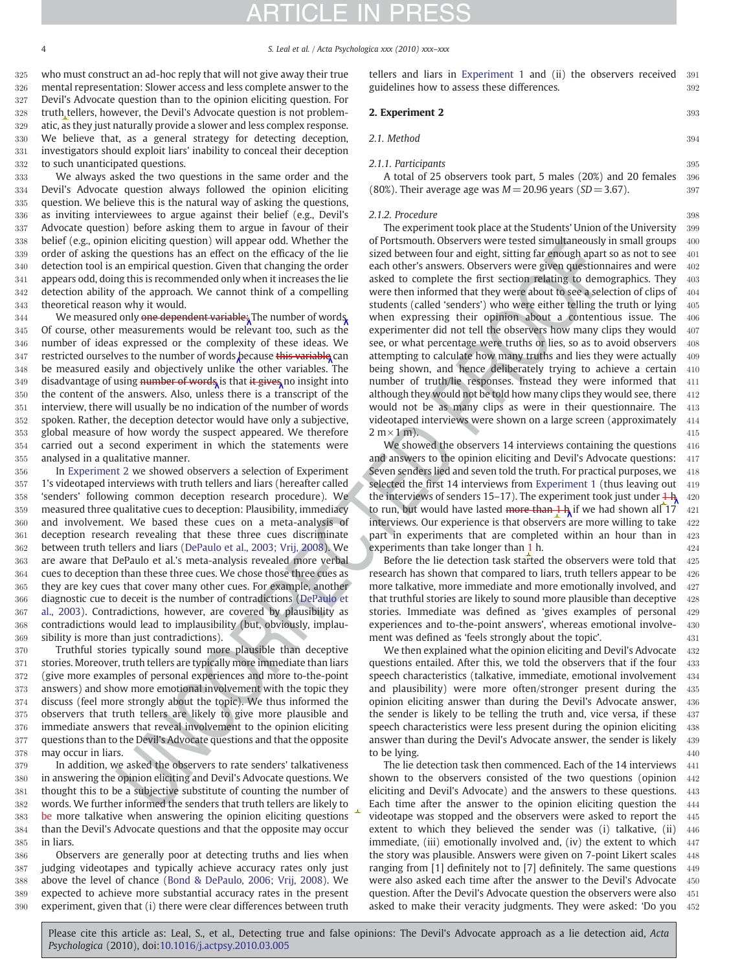4 S. Leal et al. / Acta Psychologica xxx (2010) xxx–xxx

 who must construct an ad-hoc reply that will not give away their true mental representation: Slower access and less complete answer to the Devil's Advocate question than to the opinion eliciting question. For truth tellers, however, the Devil's Advocate question is not problem- atic, as they just naturally provide a slower and less complex response. We believe that, as a general strategy for detecting deception, investigators should exploit liars' inability to conceal their deception to such unanticipated questions.

 We always asked the two questions in the same order and the Devil's Advocate question always followed the opinion eliciting question. We believe this is the natural way of asking the questions, as inviting interviewees to argue against their belief (e.g., Devil's Advocate question) before asking them to argue in favour of their belief (e.g., opinion eliciting question) will appear odd. Whether the order of asking the questions has an effect on the efficacy of the lie detection tool is an empirical question. Given that changing the order appears odd, doing this is recommended only when it increases the lie detection ability of the approach. We cannot think of a compelling theoretical reason why it would.

344 We measured only one dependent variable; The number of words, Of course, other measurements would be relevant too, such as the number of ideas expressed or the complexity of these ideas. We 347 restricted ourselves to the number of words because this variable can be measured easily and objectively unlike the other variables. The 349 disadvantage of using number of words is that it gives no insight into the content of the answers. Also, unless there is a transcript of the interview, there will usually be no indication of the number of words spoken. Rather, the deception detector would have only a subjective, global measure of how wordy the suspect appeared. We therefore carried out a second experiment in which the statements were analysed in a qualitative manner.

 In Experiment 2 we showed observers a selection of Experiment 1's videotaped interviews with truth tellers and liars (hereafter called 'senders' following common deception research procedure). We measured three qualitative cues to deception: Plausibility, immediacy and involvement. We based these cues on a meta-analysis of deception research revealing that these three cues discriminate between truth tellers and liars (DePaulo et al., 2003; Vrij, 2008). We are aware that DePaulo et al.'s meta-analysis revealed more verbal cues to deception than these three cues. We chose those three cues as they are key cues that cover many other cues. For example, another diagnostic cue to deceit is the number of contradictions (DePaulo et [al., 2003\)](#page-6-0). Contradictions, however, are covered by plausibility as contradictions would lead to implausibility (but, obviously, implau-sibility is more than just contradictions).

 Truthful stories typically sound more plausible than deceptive stories. Moreover, truth tellers are typically more immediate than liars (give more examples of personal experiences and more to-the-point answers) and show more emotional involvement with the topic they discuss (feel more strongly about the topic). We thus informed the observers that truth tellers are likely to give more plausible and immediate answers that reveal involvement to the opinion eliciting questions than to the Devil's Advocate questions and that the opposite may occur in liars.

 In addition, we asked the observers to rate senders' talkativeness in answering the opinion eliciting and Devil's Advocate questions. We thought this to be a subjective substitute of counting the number of words. We further informed the senders that truth tellers are likely to be more talkative when answering the opinion eliciting questions than the Devil's Advocate questions and that the opposite may occur in liars.

 Observers are generally poor at detecting truths and lies when judging videotapes and typically achieve accuracy rates only just above the level of chance ([Bond & DePaulo, 2006; Vrij, 2008\)](#page-6-0). We expected to achieve more substantial accuracy rates in the present experiment, given that (i) there were clear differences between truth tellers and liars in [Experiment 1](#page-2-0) and (ii) the observers received 391 guidelines how to assess these differences.  $392$ 

**2. Experiment 2** 393

2.1. Method 394

#### 2.1.1. Participants 395

A total of 25 observers took part, 5 males (20%) and 20 females 396 (80%). Their average age was  $M = 20.96$  years (SD = 3.67). 397

#### 2.1.2. Procedure 398

m entiring quarature and Wheater the of Persons and the method in the state and material of the state of the state of the state of the state of the state of the state of the state of the state of the state of the state of The experiment took place at the Students' Union of the University 399 of Portsmouth. Observers were tested simultaneously in small groups 400 sized between four and eight, sitting far enough apart so as not to see 401 each other's answers. Observers were given questionnaires and were 402 asked to complete the first section relating to demographics. They 403 were then informed that they were about to see a selection of clips of 404 students (called 'senders') who were either telling the truth or lying 405 when expressing their opinion about a contentious issue. The 406 experimenter did not tell the observers how many clips they would 407 see, or what percentage were truths or lies, so as to avoid observers 408 attempting to calculate how many truths and lies they were actually  $409$ being shown, and hence deliberately trying to achieve a certain 410 number of truth/lie responses. Instead they were informed that 411 although they would not be told how many clips they would see, there  $412$ would not be as many clips as were in their questionnaire. The 413 videotaped interviews were shown on a large screen (approximately 414  $2 \text{ m} \times 1 \text{ m}$ . 415

We showed the observers 14 interviews containing the questions 416 and answers to the opinion eliciting and Devil's Advocate questions: 417 Seven senders lied and seven told the truth. For practical purposes, we 418 selected the first 14 interviews from [Experiment 1](#page-2-0) (thus leaving out 419 the interviews of senders 15–17). The experiment took just under  $\frac{1}{2}$  + 420 to run, but would have lasted more than  $1 h$  if we had shown all 17  $\frac{421}{2}$ interviews. Our experience is that observers are more willing to take  $422$ part in experiments that are completed within an hour than in 423 experiments than take longer than 1 h. 424

Before the lie detection task started the observers were told that 425 research has shown that compared to liars, truth tellers appear to be  $426$ more talkative, more immediate and more emotionally involved, and 427 that truthful stories are likely to sound more plausible than deceptive  $428$ stories. Immediate was defined as 'gives examples of personal 429 experiences and to-the-point answers', whereas emotional involve- 430 ment was defined as 'feels strongly about the topic'. 431

We then explained what the opinion eliciting and Devil's Advocate 432 questions entailed. After this, we told the observers that if the four 433 speech characteristics (talkative, immediate, emotional involvement 434 and plausibility) were more often/stronger present during the 435 opinion eliciting answer than during the Devil's Advocate answer, 436 the sender is likely to be telling the truth and, vice versa, if these 437 speech characteristics were less present during the opinion eliciting 438 answer than during the Devil's Advocate answer, the sender is likely 439 to be lying. 440

The lie detection task then commenced. Each of the 14 interviews 441 shown to the observers consisted of the two questions (opinion 442 eliciting and Devil's Advocate) and the answers to these questions. 443 Each time after the answer to the opinion eliciting question the 444 videotape was stopped and the observers were asked to report the 445 extent to which they believed the sender was (i) talkative, (ii) 446 immediate, (iii) emotionally involved and, (iv) the extent to which  $447$ the story was plausible. Answers were given on 7-point Likert scales 448 ranging from [1] definitely not to [7] definitely. The same questions 449 were also asked each time after the answer to the Devil's Advocate 450 question. After the Devil's Advocate question the observers were also 451 asked to make their veracity judgments. They were asked: 'Do you 452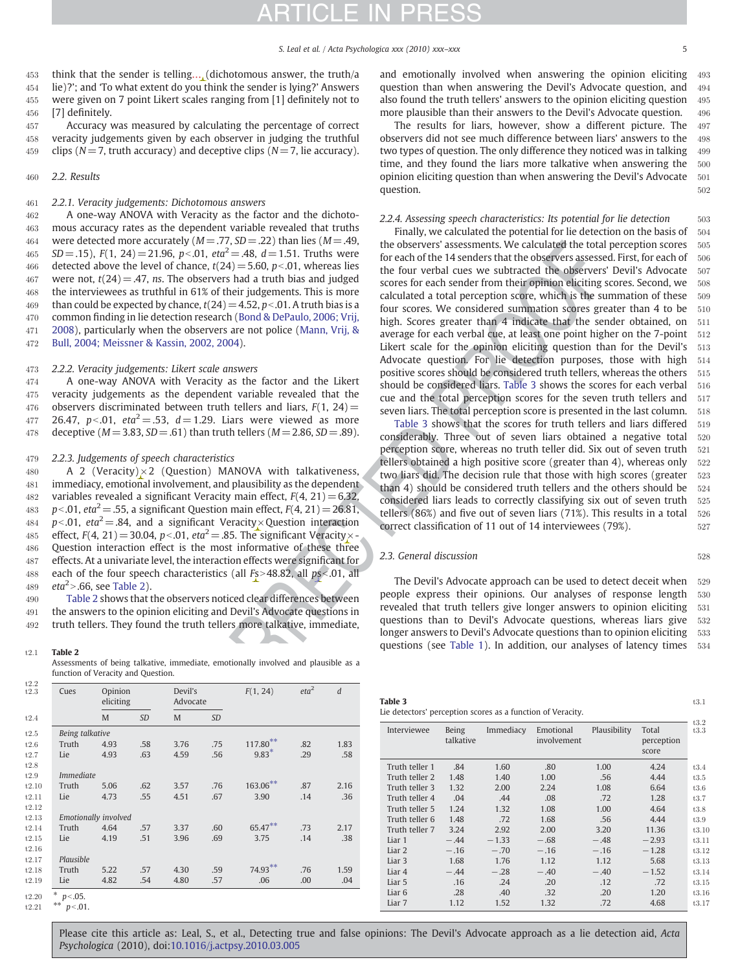<span id="page-5-0"></span>453 think that the sender is telling… (dichotomous answer, the truth/a 454 lie)?'; and 'To what extent do you think the sender is lying?' Answers 455 were given on 7 point Likert scales ranging from [1] definitely not to

456 [7] definitely.

457 Accuracy was measured by calculating the percentage of correct 458 veracity judgements given by each observer in judging the truthful 459 clips ( $N= 7$ , truth accuracy) and deceptive clips ( $N= 7$ , lie accuracy).

#### 460 2.2. Results

#### 461 2.2.1. Veracity judgements: Dichotomous answers

462 A one-way ANOVA with Veracity as the factor and the dichoto-463 mous accuracy rates as the dependent variable revealed that truths 464 were detected more accurately  $(M = .77, SD = .22)$  than lies  $(M = .49,$ 465 SD = .15), F(1, 24) = 21.96, p < .01, eta<sup>2</sup> = .48, d = 1.51. Truths were 466 detected above the level of chance,  $t(24) = 5.60$ ,  $p < .01$ , whereas lies 467 were not,  $t(24) = .47$ , ns. The observers had a truth bias and judged 468 the interviewees as truthful in 61% of their judgements. This is more 469 than could be expected by chance,  $t(24) = 4.52$ ,  $p < .01$ . A truth bias is a 470 common finding in lie detection research [\(Bond & DePaulo, 2006; Vrij,](#page-6-0) 471 [2008\)](#page-6-0), particularly when the observers are not police [\(Mann, Vrij, &](#page-7-0) 472 [Bull, 2004; Meissner & Kassin, 2002, 2004](#page-7-0)).

#### 473 2.2.2. Veracity judgements: Likert scale answers

474 A one-way ANOVA with Veracity as the factor and the Likert 475 veracity judgements as the dependent variable revealed that the 476 observers discriminated between truth tellers and liars,  $F(1, 24)$  = 477 26.47, p<.01, eta<sup>2</sup> = .53, d = 1.29. Liars were viewed as more 478 deceptive ( $M = 3.83$ ,  $SD = .61$ ) than truth tellers ( $M = 2.86$ ,  $SD = .89$ ).

#### 479 2.2.3. Judgements of speech characteristics

480 A 2 (Veracity) $\times$ 2 (Question) MANOVA with talkativeness, 481 immediacy, emotional involvement, and plausibility as the dependent 482 variables revealed a significant Veracity main effect,  $F(4, 21) = 6.32$ 483 p < 0.01, eta<sup>2</sup> = .55, a significant Question main effect,  $F(4, 21) = 26.81$ , 484 p < 01, eta<sup>2</sup> = .84, and a significant Veracity × Question interaction 485 effect,  $F(4, 21) = 30.04$ ,  $p<0.01$ ,  $eta^2 = .85$ . The significant Veracity $\times$ 486 Question interaction effect is the most informative of these three 487 effects. At a univariate level, the interaction effects were significant for 488 each of the four speech characteristics (all  $Fs > 48.82$ , all  $ps < 0.01$ , all 489  $eta^2$  > .66, see Table 2).

490 Table 2 shows that the observers noticed clear differences between 491 the answers to the opinion eliciting and Devil's Advocate questions in 492 truth tellers. They found the truth tellers more talkative, immediate,

Assessments of being talkative, immediate, emotionally involved and plausible as a function of Veracity and Question.

| t2.2<br>t2.3 | Cues                 |      | Opinion<br>eliciting |      | Advocate  | F(1, 24)    | eta <sup>2</sup> | $\boldsymbol{d}$ |  |  |
|--------------|----------------------|------|----------------------|------|-----------|-------------|------------------|------------------|--|--|
| t2.4         |                      | M    | <b>SD</b>            | M    | <b>SD</b> |             |                  |                  |  |  |
| t2.5         | Being talkative      |      |                      |      |           |             |                  |                  |  |  |
| t2.6         | Truth                | 4.93 | .58                  | 3.76 | .75       | $117.80***$ | .82              | 1.83             |  |  |
| t2.7         | Lie                  | 4.93 | .63                  | 4.59 | .56       | $9.83*$     | .29              | .58              |  |  |
| t2.8         |                      |      |                      |      |           |             |                  |                  |  |  |
| t2.9         | <i>Immediate</i>     |      |                      |      |           |             |                  |                  |  |  |
| t2.10        | Truth                | 5.06 | .62                  | 3.57 | .76       | 163.06**    | .87              | 2.16             |  |  |
| t2.11        | Lie                  | 4.73 | .55                  | 4.51 | .67       | 3.90        | .14              | .36              |  |  |
| t2.12        |                      |      |                      |      |           |             |                  |                  |  |  |
| t2.13        | Emotionally involved |      |                      |      |           |             |                  |                  |  |  |
| t2.14        | Truth                | 4.64 | .57                  | 3.37 | .60       | 65.47**     | .73              | 2.17             |  |  |
| t2.15        | Lie                  | 4.19 | .51                  | 3.96 | .69       | 3.75        | .14              | .38              |  |  |
| t2.16        |                      |      |                      |      |           |             |                  |                  |  |  |
| t2.17        | Plausible            |      |                      |      |           |             |                  |                  |  |  |
| t2.18        | Truth                | 5.22 | .57                  | 4.30 | .59       | 74.93**     | .76              | 1.59             |  |  |
| t2.19        | Lie                  | 4.82 | .54                  | 4.80 | .57       | .06         | .00              | .04              |  |  |
| t2.20        | * $p<0.05$ .         |      |                      |      |           |             |                  |                  |  |  |

 $t2.21$  \*\*  $p < .01$ .

and emotionally involved when answering the opinion eliciting 493 question than when answering the Devil's Advocate question, and 494 also found the truth tellers' answers to the opinion eliciting question 495 more plausible than their answers to the Devil's Advocate question. 496

The results for liars, however, show a different picture. The 497 observers did not see much difference between liars' answers to the 498 two types of question. The only difference they noticed was in talking 499 time, and they found the liars more talkative when answering the 500 opinion eliciting question than when answering the Devil's Advocate 501 question. 502

#### 2.2.4. Assessing speech characteristics: Its potential for lie detection 503

non-action (a)  $\frac{1}{2}$  (c)  $\frac{1}{2}$  (d)  $\frac{1}{2}$  (d)  $\frac{1}{2}$  (d)  $\frac{1}{2}$  (d)  $\frac{1}{2}$  (d)  $\frac{1}{2}$  (d)  $\frac{1}{2}$  (d)  $\frac{1}{2}$  (d)  $\frac{1}{2}$  (d)  $\frac{1}{2}$  (d)  $\frac{1}{2}$  (d)  $\frac{1}{2}$  (d)  $\frac{1}{2}$  (d)  $\frac{1}{2}$  Finally, we calculated the potential for lie detection on the basis of 504 the observers' assessments. We calculated the total perception scores 505 for each of the 14 senders that the observers assessed. First, for each of 506 the four verbal cues we subtracted the observers' Devil's Advocate 507 scores for each sender from their opinion eliciting scores. Second, we 508 calculated a total perception score, which is the summation of these 509 four scores. We considered summation scores greater than 4 to be 510 high. Scores greater than 4 indicate that the sender obtained, on 511 average for each verbal cue, at least one point higher on the 7-point 512 Likert scale for the opinion eliciting question than for the Devil's 513 Advocate question. For lie detection purposes, those with high 514 positive scores should be considered truth tellers, whereas the others 515 should be considered liars. Table 3 shows the scores for each verbal 516 cue and the total perception scores for the seven truth tellers and 517 seven liars. The total perception score is presented in the last column. 518

Table 3 shows that the scores for truth tellers and liars differed 519 considerably. Three out of seven liars obtained a negative total 520 perception score, whereas no truth teller did. Six out of seven truth 521 tellers obtained a high positive score (greater than 4), whereas only  $522$ two liars did. The decision rule that those with high scores (greater 523 than 4) should be considered truth tellers and the others should be 524 considered liars leads to correctly classifying six out of seven truth 525 tellers (86%) and five out of seven liars (71%). This results in a total  $526$ correct classification of 11 out of 14 interviewees (79%).  $527$ 

#### 2.3. General discussion 528

The Devil's Advocate approach can be used to detect deceit when 529 people express their opinions. Our analyses of response length 530 revealed that truth tellers give longer answers to opinion eliciting 531 questions than to Devil's Advocate questions, whereas liars give 532 longer answers to Devil's Advocate questions than to opinion eliciting 533 t2.1 Table 2<br>
Table 2<br>
Table 2

| Interviewee       | Being<br>talkative | Immediacy | Emotional<br>involvement | Plausibility | Total<br>perception<br>score | t3.2<br>t3.3 |
|-------------------|--------------------|-----------|--------------------------|--------------|------------------------------|--------------|
| Truth teller 1    | .84                | 1.60      | .80                      | 1.00         | 4.24                         | t3.4         |
| Truth teller 2    | 1.48               | 1.40      | 1.00                     | .56          | 4.44                         | t3.5         |
| Truth teller 3    | 1.32               | 2.00      | 2.24                     | 1.08         | 6.64                         | t3.6         |
| Truth teller 4    | .04                | .44       | .08                      | .72          | 1.28                         | t3.7         |
| Truth teller 5    | 1.24               | 1.32      | 1.08                     | 1.00         | 4.64                         | t3.8         |
| Truth teller 6    | 1.48               | .72       | 1.68                     | .56          | 4.44                         | t3.9         |
| Truth teller 7    | 3.24               | 2.92      | 2.00                     | 3.20         | 11.36                        | t3.10        |
| Liar 1            | $-.44$             | $-1.33$   | $-.68$                   | $-.48$       | $-2.93$                      | t3.11        |
| Liar 2            | $-.16$             | $-.70$    | $-.16$                   | $-.16$       | $-1.28$                      | t3.12        |
| Liar <sub>3</sub> | 1.68               | 1.76      | 1.12                     | 1.12         | 5.68                         | t3.13        |
| Liar 4            | $-.44$             | $-.28$    | $-.40$                   | $-.40$       | $-1.52$                      | t3.14        |
| Liar 5            | .16                | .24       | .20                      | .12          | .72                          | t3.15        |
| Liar <sub>6</sub> | .28                | .40       | .32                      | .20          | 1.20                         | t3.16        |
| Liar 7            | 1.12               | 1.52      | 1.32                     | .72          | 4.68                         | t3.17        |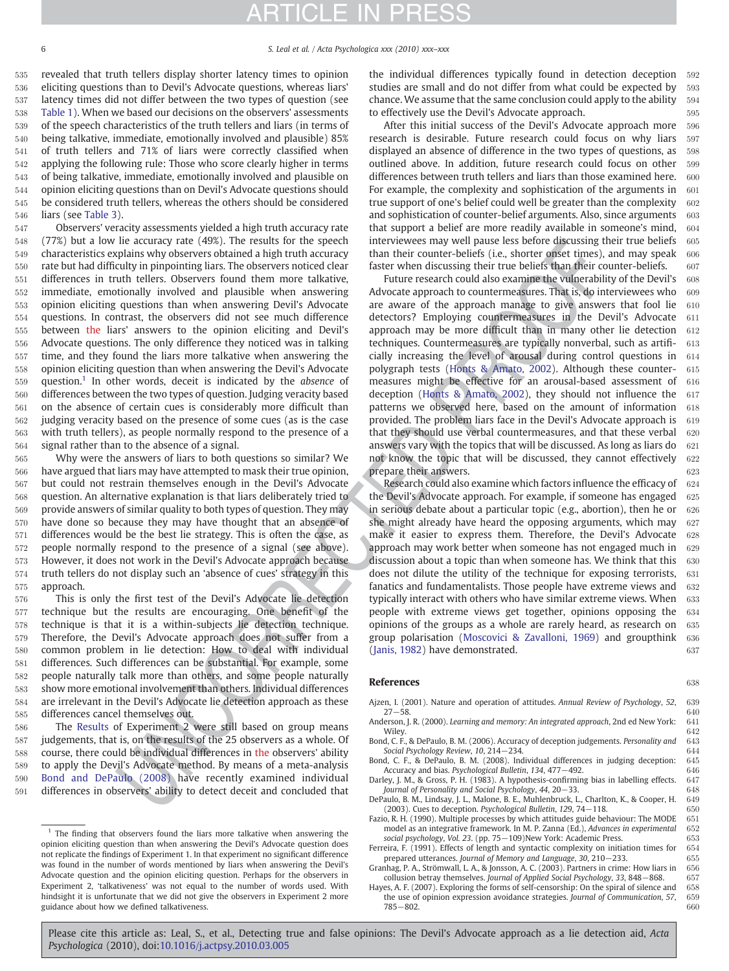<span id="page-6-0"></span>

# TICLE IN PR

 revealed that truth tellers display shorter latency times to opinion eliciting questions than to Devil's Advocate questions, whereas liars' latency times did not differ between the two types of question (see [Table 1\)](#page-3-0). When we based our decisions on the observers' assessments of the speech characteristics of the truth tellers and liars (in terms of being talkative, immediate, emotionally involved and plausible) 85% of truth tellers and 71% of liars were correctly classified when applying the following rule: Those who score clearly higher in terms of being talkative, immediate, emotionally involved and plausible on opinion eliciting questions than on Devil's Advocate questions should be considered truth tellers, whereas the others should be considered liars (see [Table 3\)](#page-5-0).

In excercing rate (4985). The results of the speech inter-towers may be particular to the speech inter-towers of the speech inter-towers of the speech of the speech of the speech of the speech of the speech of the speech Observers' veracity assessments yielded a high truth accuracy rate (77%) but a low lie accuracy rate (49%). The results for the speech characteristics explains why observers obtained a high truth accuracy rate but had difficulty in pinpointing liars. The observers noticed clear differences in truth tellers. Observers found them more talkative, immediate, emotionally involved and plausible when answering opinion eliciting questions than when answering Devil's Advocate questions. In contrast, the observers did not see much difference between the liars' answers to the opinion eliciting and Devil's Advocate questions. The only difference they noticed was in talking time, and they found the liars more talkative when answering the opinion eliciting question than when answering the Devil's Advocate 559 question.<sup>1</sup> In other words, deceit is indicated by the *absence* of differences between the two types of question. Judging veracity based on the absence of certain cues is considerably more difficult than judging veracity based on the presence of some cues (as is the case with truth tellers), as people normally respond to the presence of a signal rather than to the absence of a signal.

 Why were the answers of liars to both questions so similar? We have argued that liars may have attempted to mask their true opinion, but could not restrain themselves enough in the Devil's Advocate question. An alternative explanation is that liars deliberately tried to provide answers of similar quality to both types of question. They may have done so because they may have thought that an absence of differences would be the best lie strategy. This is often the case, as people normally respond to the presence of a signal (see above). However, it does not work in the Devil's Advocate approach because truth tellers do not display such an 'absence of cues' strategy in this approach.

 This is only the first test of the Devil's Advocate lie detection technique but the results are encouraging. One benefit of the technique is that it is a within-subjects lie detection technique. Therefore, the Devil's Advocate approach does not suffer from a common problem in lie detection: How to deal with individual differences. Such differences can be substantial. For example, some people naturally talk more than others, and some people naturally show more emotional involvement than others. Individual differences are irrelevant in the Devil's Advocate lie detection approach as these differences cancel themselves out.

 The [Results](#page-5-0) of Experiment 2 were still based on group means judgements, that is, on the results of the 25 observers as a whole. Of course, there could be individual differences in the observers' ability to apply the Devil's Advocate method. By means of a meta-analysis Bond and DePaulo (2008) have recently examined individual differences in observers' ability to detect deceit and concluded that the individual differences typically found in detection deception 592 studies are small and do not differ from what could be expected by 593 chance. We assume that the same conclusion could apply to the ability  $594$ to effectively use the Devil's Advocate approach.  $595$ 

After this initial success of the Devil's Advocate approach more 596 research is desirable. Future research could focus on why liars 597 displayed an absence of difference in the two types of questions, as 598 outlined above. In addition, future research could focus on other 599 differences between truth tellers and liars than those examined here. 600 For example, the complexity and sophistication of the arguments in  $601$ true support of one's belief could well be greater than the complexity  $602$ and sophistication of counter-belief arguments. Also, since arguments  $603$ that support a belief are more readily available in someone's mind, 604 interviewees may well pause less before discussing their true beliefs 605 than their counter-beliefs (i.e., shorter onset times), and may speak  $606$ faster when discussing their true beliefs than their counter-beliefs.  $607$ 

Future research could also examine the vulnerability of the Devil's 608 Advocate approach to countermeasures. That is, do interviewees who  $609$ are aware of the approach manage to give answers that fool lie  $610$ detectors? Employing countermeasures in the Devil's Advocate 611 approach may be more difficult than in many other lie detection 612 techniques. Countermeasures are typically nonverbal, such as artifi- 613 cially increasing the level of arousal during control questions in 614 polygraph tests (Honts & Amato, 2002). Although these counter- 615 measures might be effective for an arousal-based assessment of 616 deception [\(Honts & Amato, 2002\)](#page-7-0), they should not influence the 617 patterns we observed here, based on the amount of information 618 provided. The problem liars face in the Devil's Advocate approach is 619 that they should use verbal countermeasures, and that these verbal  $620$ answers vary with the topics that will be discussed. As long as liars do  $621$ not know the topic that will be discussed, they cannot effectively 622 prepare their answers. 623

Research could also examine which factors influence the efficacy of  $624$ the Devil's Advocate approach. For example, if someone has engaged 625 in serious debate about a particular topic (e.g., abortion), then he or  $626$ she might already have heard the opposing arguments, which may  $627$ make it easier to express them. Therefore, the Devil's Advocate 628 approach may work better when someone has not engaged much in 629 discussion about a topic than when someone has. We think that this 630 does not dilute the utility of the technique for exposing terrorists, 631 fanatics and fundamentalists. Those people have extreme views and 632 typically interact with others who have similar extreme views. When 633 people with extreme views get together, opinions opposing the 634 opinions of the groups as a whole are rarely heard, as research on 635 group polarisation ([Moscovici & Zavalloni, 1969](#page-7-0)) and groupthink 636 (Janis, 1982) have demonstrated. 637

#### References 638

- Ajzen, I. (2001). Nature and operation of attitudes. Annual Review of Psychology, 52, 639<br>
27–58. 640
- 27−58. 640 Anderson, J. R. (2000). Learning and memory: An integrated approach, 2nd ed New York: 641 Wiley. 642 Bond, C. F., & DePaulo, B. M. (2006). Accuracy of deception judgements. Personality and 643
- Social Psychology Review, 10, 214−234. 644

Bond, C. F., & DePaulo, B. M. (2008). Individual differences in judging deception: 645 Accuracy and bias. Psychological Bulletin, 134, 477–492. 646<br>lev. I. M., & Gross. P. H. (1983). A hypothesis-confirming bias in labelling effects. 647

Darley, J. M., & Gross, P. H. (1983). A hypothesis-confirming bias in labelling effects. Journal of Personality and Social Psychology, 44, 20−33. 648

DePaulo, B. M., Lindsay, J. L., Malone, B. E., Muhlenbruck, L., Charlton, K., & Cooper, H. 649<br>(2003). Cues to deception. Psychological Bulletin. 129, 74–118. 650 (2003). Cues to deception. Psychological Bulletin, 129, 74-118.

Fazio, R. H. (1990). Multiple processes by which attitudes guide behaviour: The MODE 651 model as an integrative framework. In M. P. Zanna (Ed.), Advances in experimental 652 social psychology, Vol. 23. (pp. 75–109)New York: Academic Press. 653<br>
Feira. F. (1991). Effects of length and syntactic complexity on initiation times for 654

Ferreira, F. (1991). Effects of length and syntactic complexity on initiation times for 654<br>prepared utterances. Journal of Memory and Language. 30. 210–233. prepared utterances. Journal of Memory and Language, 30, 210−233.

 $1$  The finding that observers found the liars more talkative when answering the opinion eliciting question than when answering the Devil's Advocate question does not replicate the findings of Experiment 1. In that experiment no significant difference was found in the number of words mentioned by liars when answering the Devil's Advocate question and the opinion eliciting question. Perhaps for the observers in Experiment 2, 'talkativeness' was not equal to the number of words used. With hindsight it is unfortunate that we did not give the observers in Experiment 2 more guidance about how we defined talkativeness.

Granhag, P. A., Strömwall, L. A., & Jonsson, A. C. (2003). Partners in crime: How liars in 656<br>collusion betrav themselves. Journal of Applied Social Psychology. 33, 848–868. 657 collusion betray themselves. Journal of Applied Social Psychology, 33, 848−868. Hayes, A. F. (2007). Exploring the forms of self-censorship: On the spiral of silence and 658

the use of opinion expression avoidance strategies. Journal of Communication, 57, 659<br>785–802 785−802. 660